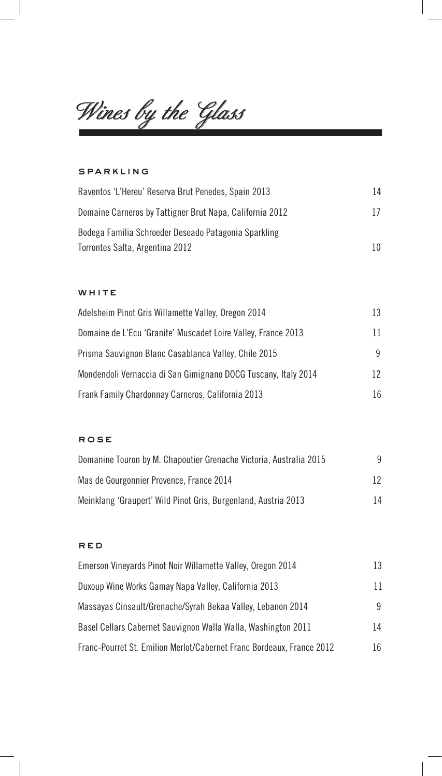*Wines by the Glass*

### sparkling

 $\begin{array}{c} \hline \end{array}$ 

| Raventos 'L'Hereu' Reserva Brut Penedes, Spain 2013      | 14 |
|----------------------------------------------------------|----|
| Domaine Carneros by Tattigner Brut Napa, California 2012 | 17 |
| Bodega Familia Schroeder Deseado Patagonia Sparkling     |    |
| Torrontes Salta, Argentina 2012                          | 10 |

 $\overline{\phantom{a}}$ 

#### WHITE

| Adelsheim Pinot Gris Willamette Valley, Oregon 2014            | 13  |
|----------------------------------------------------------------|-----|
| Domaine de L'Ecu 'Granite' Muscadet Loire Valley, France 2013  | 11. |
| Prisma Sauvignon Blanc Casablanca Valley, Chile 2015           | 9   |
| Mondendoli Vernaccia di San Gimignano DOCG Tuscany, Italy 2014 | 12. |
| Frank Family Chardonnay Carneros, California 2013              | 16  |

### rose

| Domanine Touron by M. Chapoutier Grenache Victoria, Australia 2015 | q  |
|--------------------------------------------------------------------|----|
| Mas de Gourgonnier Provence, France 2014                           | 12 |
| Meinklang 'Graupert' Wild Pinot Gris, Burgenland, Austria 2013     | 14 |

### red

 $\mathbb{R}^3$ 

| Emerson Vineyards Pinot Noir Willamette Valley, Oregon 2014           | 13  |
|-----------------------------------------------------------------------|-----|
| Duxoup Wine Works Gamay Napa Valley, California 2013                  | 11  |
| Massayas Cinsault/Grenache/Syrah Bekaa Valley, Lebanon 2014           | 9   |
| Basel Cellars Cabernet Sauvignon Walla Walla, Washington 2011         | 14  |
| Franc-Pourret St. Emilion Merlot/Cabernet Franc Bordeaux, France 2012 | 16. |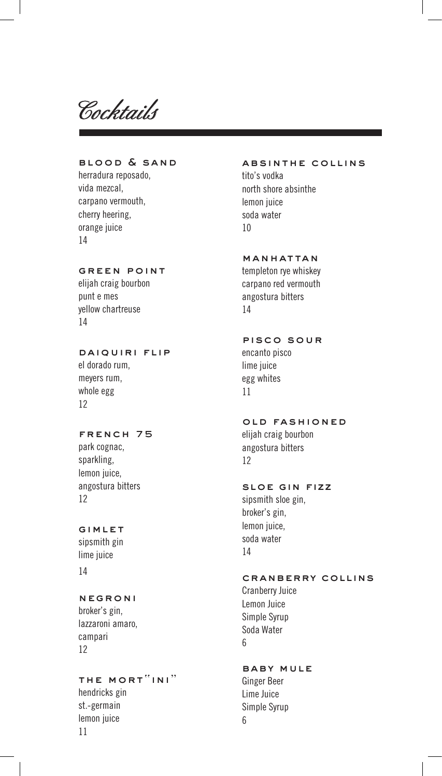*Cocktails*

# blood & sand

herradura reposado, vida mezcal, carpano vermouth, cherry heering, orange juice 14

### green point

elijah craig bourbon punt e mes yellow chartreuse 14

# daiquiri flip

el dorado rum, meyers rum, whole egg 12

### FRENCH 75

park cognac, sparkling, lemon juice, angostura bitters 12

# gimlet

sipsmith gin lime juice 14

# negroni

broker's gin, lazzaroni amaro, campari 12

# the mort"ini"

hendricks gin st.-germain lemon juice 11

### absinthe collins

tito's vodka north shore absinthe lemon juice soda water 10

# manhattan

templeton rye whiskey carpano red vermouth angostura bitters 14

# pisco sour

encanto pisco lime juice egg whites 11

# old fashioned

elijah craig bourbon angostura bitters 12

### SLOE GIN FIZZ

sipsmith sloe gin, broker's gin, lemon juice, soda water 14

### cranberry collins

Cranberry Juice Lemon Juice Simple Syrup Soda Water 6

### baby mule

Ginger Beer Lime Juice Simple Syrup 6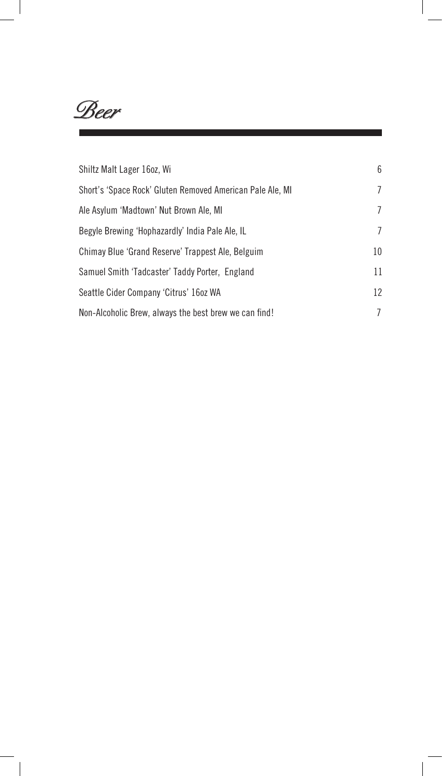*Beer*

 $\sim$  1

| Shiltz Malt Lager 16oz, Wi                                | 6  |
|-----------------------------------------------------------|----|
| Short's 'Space Rock' Gluten Removed American Pale Ale, MI | 7  |
| Ale Asylum 'Madtown' Nut Brown Ale, MI                    | 7  |
| Begyle Brewing 'Hophazardly' India Pale Ale, IL           | 7  |
| Chimay Blue 'Grand Reserve' Trappest Ale, Belguim         | 10 |
| Samuel Smith 'Tadcaster' Taddy Porter, England            | 11 |
| Seattle Cider Company 'Citrus' 16oz WA                    | 12 |
| Non-Alcoholic Brew, always the best brew we can find!     | 7  |

 $\begin{array}{c} \hline \end{array}$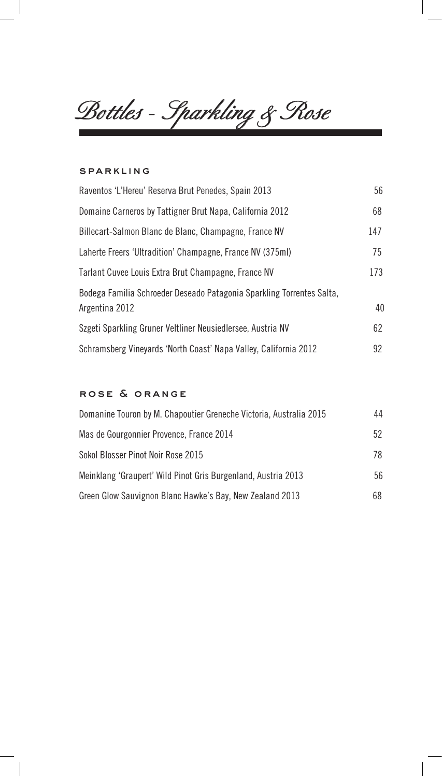*Bottles - Sparkling & Rose*

#### sparkling

 $\overline{\phantom{a}}$ 

 $\mathbb{R}$ 

| Raventos 'L'Hereu' Reserva Brut Penedes, Spain 2013                   | 56  |
|-----------------------------------------------------------------------|-----|
| Domaine Carneros by Tattigner Brut Napa, California 2012              | 68  |
| Billecart-Salmon Blanc de Blanc, Champagne, France NV                 | 147 |
| Laherte Freers 'Ultradition' Champagne, France NV (375ml)             | 75  |
| Tarlant Cuvee Louis Extra Brut Champagne, France NV                   | 173 |
| Bodega Familia Schroeder Deseado Patagonia Sparkling Torrentes Salta, |     |
| Argentina 2012                                                        | 40  |
| Szgeti Sparkling Gruner Veltliner Neusiedlersee, Austria NV           | 62  |
| Schramsberg Vineyards 'North Coast' Napa Valley, California 2012      | 92  |

# rose & orange

| Domanine Touron by M. Chapoutier Greneche Victoria, Australia 2015 | 44 |
|--------------------------------------------------------------------|----|
| Mas de Gourgonnier Provence, France 2014                           | 52 |
| Sokol Blosser Pinot Noir Rose 2015                                 | 78 |
| Meinklang 'Graupert' Wild Pinot Gris Burgenland, Austria 2013      | 56 |
| Green Glow Sauvignon Blanc Hawke's Bay, New Zealand 2013           | 68 |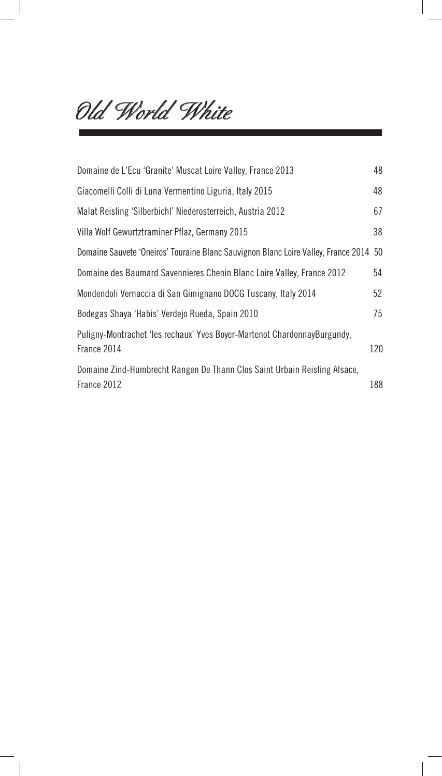*Old World White*

 $\overline{\phantom{a}}$ 

| Domaine de L'Ecu 'Granite' Muscat Loire Valley, France 2013                             | 48  |
|-----------------------------------------------------------------------------------------|-----|
| Giacomelli Colli di Luna Vermentino Liguria, Italy 2015                                 | 48  |
| Malat Reisling 'Silberbichl' Niederosterreich, Austria 2012                             | 67  |
| Villa Wolf Gewurtztraminer Pflaz, Germany 2015                                          | 38  |
| Domaine Sauvete 'Oneiros' Touraine Blanc Sauvignon Blanc Loire Valley, France 2014 50   |     |
| Domaine des Baumard Savennieres Chenin Blanc Loire Valley, France 2012                  | 54  |
| Mondendoli Vernaccia di San Gimignano DOCG Tuscany, Italy 2014                          | 52  |
| Bodegas Shaya 'Habis' Verdejo Rueda, Spain 2010                                         | 75  |
| Puligny-Montrachet 'les rechaux' Yves Boyer-Martenot ChardonnayBurgundy,<br>France 2014 | 120 |
| Domaine Zind-Humbrecht Rangen De Thann Clos Saint Urbain Reisling Alsace,               |     |
| France 2012                                                                             | 188 |

 $\overline{\phantom{a}}$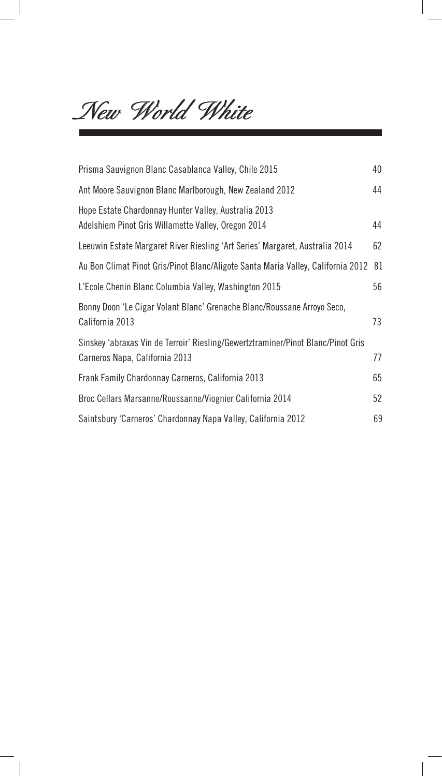*New World White*

 $\overline{\phantom{a}}$ 

| Prisma Sauvignon Blanc Casablanca Valley, Chile 2015                                                               | 40 |
|--------------------------------------------------------------------------------------------------------------------|----|
| Ant Moore Sauvignon Blanc Marlborough, New Zealand 2012                                                            | 44 |
| Hope Estate Chardonnay Hunter Valley, Australia 2013<br>Adelshiem Pinot Gris Willamette Valley, Oregon 2014        | 44 |
| Leeuwin Estate Margaret River Riesling 'Art Series' Margaret, Australia 2014                                       | 62 |
| Au Bon Climat Pinot Gris/Pinot Blanc/Aligote Santa Maria Valley, California 2012                                   | 81 |
| L'Ecole Chenin Blanc Columbia Valley, Washington 2015                                                              | 56 |
| Bonny Doon 'Le Cigar Volant Blanc' Grenache Blanc/Roussane Arroyo Seco,<br>California 2013                         | 73 |
| Sinskey 'abraxas Vin de Terroir' Riesling/Gewertztraminer/Pinot Blanc/Pinot Gris<br>Carneros Napa, California 2013 | 77 |
| Frank Family Chardonnay Carneros, California 2013                                                                  | 65 |
| Broc Cellars Marsanne/Roussanne/Viognier California 2014                                                           | 52 |
| Saintsbury 'Carneros' Chardonnay Napa Valley, California 2012                                                      | 69 |

 $\begin{array}{c} \hline \end{array}$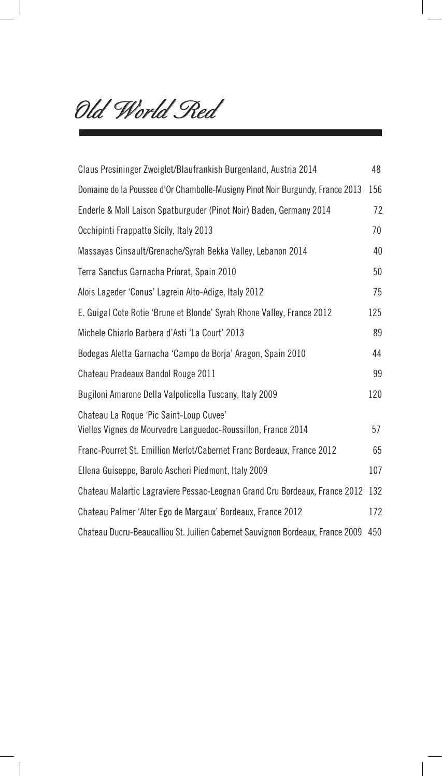*Old World Red*

 $\overline{\phantom{a}}$ 

| Claus Presininger Zweiglet/Blaufrankish Burgenland, Austria 2014                                         | 48  |
|----------------------------------------------------------------------------------------------------------|-----|
| Domaine de la Poussee d'Or Chambolle-Musigny Pinot Noir Burgundy, France 2013                            | 156 |
| Enderle & Moll Laison Spatburguder (Pinot Noir) Baden, Germany 2014                                      | 72  |
| Occhipinti Frappatto Sicily, Italy 2013                                                                  | 70  |
| Massayas Cinsault/Grenache/Syrah Bekka Valley, Lebanon 2014                                              | 40  |
| Terra Sanctus Garnacha Priorat, Spain 2010                                                               | 50  |
| Alois Lageder 'Conus' Lagrein Alto-Adige, Italy 2012                                                     | 75  |
| E. Guigal Cote Rotie 'Brune et Blonde' Syrah Rhone Valley, France 2012                                   | 125 |
| Michele Chiarlo Barbera d'Asti 'La Court' 2013                                                           | 89  |
| Bodegas Aletta Garnacha 'Campo de Borja' Aragon, Spain 2010                                              | 44  |
| Chateau Pradeaux Bandol Rouge 2011                                                                       | 99  |
| Bugiloni Amarone Della Valpolicella Tuscany, Italy 2009                                                  | 120 |
| Chateau La Roque 'Pic Saint-Loup Cuvee'<br>Vielles Vignes de Mourvedre Languedoc-Roussillon, France 2014 | 57  |
| Franc-Pourret St. Emillion Merlot/Cabernet Franc Bordeaux, France 2012                                   | 65  |
| Ellena Guiseppe, Barolo Ascheri Piedmont, Italy 2009                                                     | 107 |
| Chateau Malartic Lagraviere Pessac-Leognan Grand Cru Bordeaux, France 2012                               | 132 |
| Chateau Palmer 'Alter Ego de Margaux' Bordeaux, France 2012                                              | 172 |
| Chateau Ducru-Beaucalliou St. Juilien Cabernet Sauvignon Bordeaux, France 2009                           | 450 |

 $\overline{\phantom{a}}$ 

 $\overline{\phantom{a}}$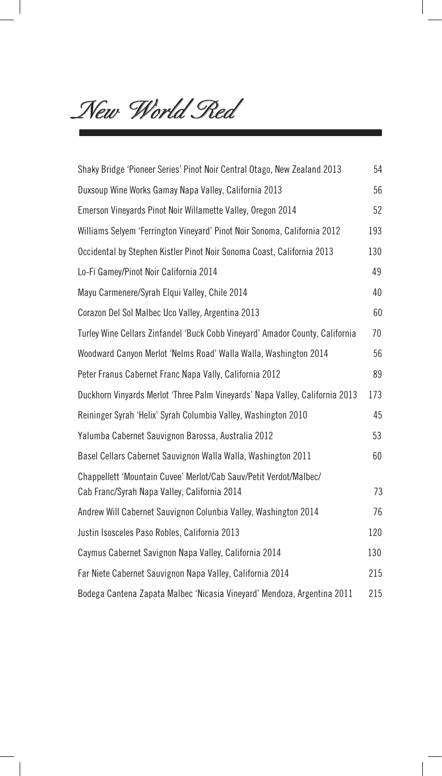*New World Red*

 $\overline{\phantom{a}}$ 

| Shaky Bridge 'Pioneer Series' Pinot Noir Central Otago, New Zealand 2013                                          | 54  |
|-------------------------------------------------------------------------------------------------------------------|-----|
| Duxsoup Wine Works Gamay Napa Valley, California 2013                                                             | 56  |
| Emerson Vineyards Pinot Noir Willamette Valley, Oregon 2014                                                       | 52  |
| Williams Selyem 'Ferrington Vineyard' Pinot Noir Sonoma, California 2012                                          | 193 |
| Occidental by Stephen Kistler Pinot Noir Sonoma Coast, California 2013                                            | 130 |
| Lo-Fi Gamey/Pinot Noir California 2014                                                                            | 49  |
| Mayu Carmenere/Syrah Elqui Valley, Chile 2014                                                                     | 40  |
| Corazon Del Sol Malbec Uco Valley, Argentina 2013                                                                 | 60  |
| Turley Wine Cellars Zinfandel 'Buck Cobb Vineyard' Amador County, California                                      | 70  |
| Woodward Canyon Merlot 'Nelms Road' Walla Walla, Washington 2014                                                  | 56  |
| Peter Franus Cabernet Franc Napa Vally, California 2012                                                           | 89  |
| Duckhorn Vinyards Merlot 'Three Palm Vineyards' Napa Valley, California 2013                                      | 173 |
| Reininger Syrah 'Helix' Syrah Columbia Valley, Washington 2010                                                    | 45  |
| Yalumba Cabernet Sauvignon Barossa, Australia 2012                                                                | 53  |
| Basel Cellars Cabernet Sauvignon Walla Walla, Washington 2011                                                     | 60  |
| Chappellett 'Mountain Cuvee' Merlot/Cab Sauv/Petit Verdot/Malbec/<br>Cab Franc/Syrah Napa Valley, California 2014 | 73  |
| Andrew Will Cabernet Sauvignon Colunbia Valley, Washington 2014                                                   | 76  |
| Justin Isosceles Paso Robles, California 2013                                                                     | 120 |
| Caymus Cabernet Savignon Napa Valley, California 2014                                                             | 130 |
| Far Niete Cabernet Sauvignon Napa Valley, California 2014                                                         | 215 |
| Bodega Cantena Zapata Malbec 'Nicasia Vineyard' Mendoza, Argentina 2011                                           | 215 |

 $\overline{\phantom{a}}$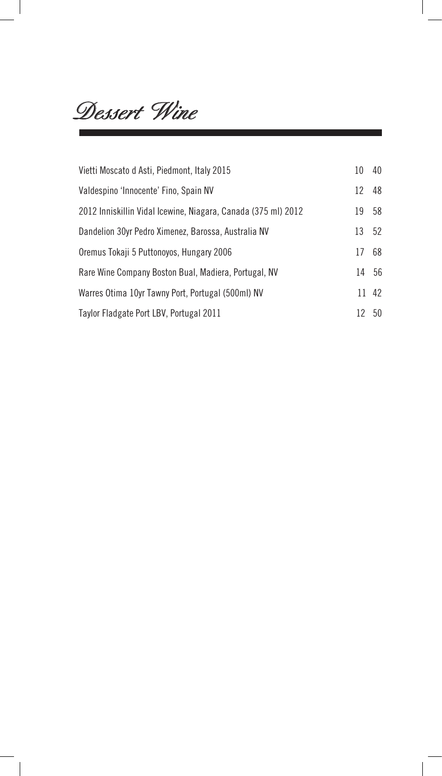*Dessert Wine*

 $\mathbb{R}^3$ 

| Vietti Moscato d Asti, Piedmont, Italy 2015                   | 10 | 40    |
|---------------------------------------------------------------|----|-------|
| Valdespino 'Innocente' Fino, Spain NV                         | 12 | 48    |
| 2012 Inniskillin Vidal Icewine, Niagara, Canada (375 ml) 2012 | 19 | 58    |
| Dandelion 30yr Pedro Ximenez, Barossa, Australia NV           | 13 | 52    |
| Oremus Tokaji 5 Puttonoyos, Hungary 2006                      | 17 | 68    |
| Rare Wine Company Boston Bual, Madiera, Portugal, NV          | 14 | 56    |
| Warres Otima 10yr Tawny Port, Portugal (500ml) NV             |    | 11 42 |
| Taylor Fladgate Port LBV, Portugal 2011                       | 12 | 50    |

 $\overline{\phantom{a}}$